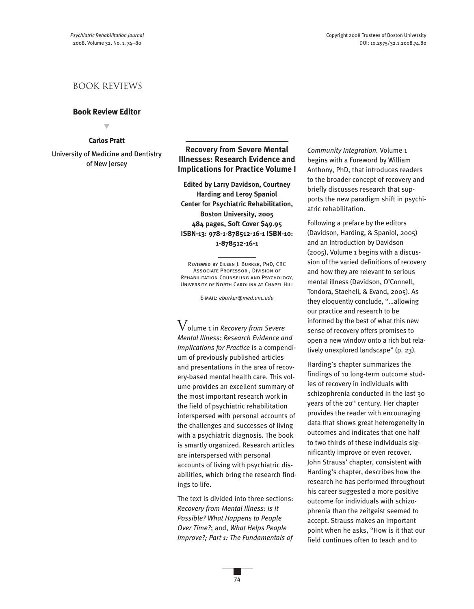## book reviews

## **Book Review Editor**

▼

## **Carlos Pratt**

University of Medicine and Dentistry of New Jersey

**Recovery from Severe Mental Illnesses: Research Evidence and Implications for Practice Volume I**

**Edited by Larry Davidson, Courtney Harding and Leroy Spaniol Center for Psychiatric Rehabilitation, Boston University, 2005 484 pages, Soft Cover \$49.95 ISBN-13: 978-1-878512-16-1 ISBN-10: 1-878512-16-1**

Reviewed by Eileen J. Burker, PhD, CRC ASSOCIATE PROFESSOR DIVISION OF Rehabilitation Counseling and Psychology, University of North Carolina at Chapel Hill

E-mail: *eburker@med.unc.edu*

Volume <sup>1</sup> in *Recovery from Severe Mental Illness: Research Evidence and Implications for Practice* is a compendium of previously published articles and presentations in the area of recovery-based mental health care. This volume provides an excellent summary of the most important research work in the field of psychiatric rehabilitation interspersed with personal accounts of the challenges and successes of living with a psychiatric diagnosis. The book is smartly organized. Research articles are interspersed with personal accounts of living with psychiatric disabilities, which bring the research findings to life.

The text is divided into three sections: *Recovery from Mental Illness: Is It Possible? What Happens to People Over Time?*; and, *What Helps People Improve?; Part 1: The Fundamentals of*

*Community Integration.* Volume 1 begins with a Foreword by William Anthony, PhD, that introduces readers to the broader concept of recovery and briefly discusses research that supports the new paradigm shift in psychiatric rehabilitation.

Following a preface by the editors (Davidson, Harding, & Spaniol, 2005) and an Introduction by Davidson (2005), Volume 1 begins with a discussion of the varied definitions of recovery and how they are relevant to serious mental illness (Davidson, O'Connell, Tondora, Staeheli, & Evand, 2005). As they eloquently conclude, "…allowing our practice and research to be informed by the best of what this new sense of recovery offers promises to open a new window onto a rich but relatively unexplored landscape" (p. 23).

Harding's chapter summarizes the findings of 10 long-term outcome studies of recovery in individuals with schizophrenia conducted in the last 30 years of the 20<sup>th</sup> century. Her chapter provides the reader with encouraging data that shows great heterogeneity in outcomes and indicates that one half to two thirds of these individuals significantly improve or even recover. John Strauss' chapter, consistent with Harding's chapter, describes how the research he has performed throughout his career suggested a more positive outcome for individuals with schizophrenia than the zeitgeist seemed to accept. Strauss makes an important point when he asks, "How is it that our field continues often to teach and to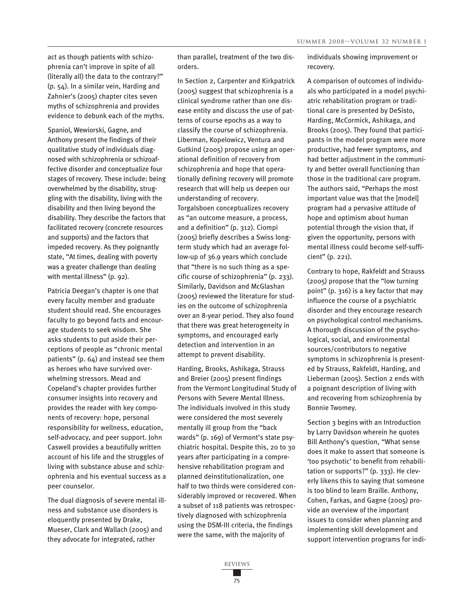act as though patients with schizophrenia can't improve in spite of all (literally all) the data to the contrary?" (p. 54). In a similar vein, Harding and Zahnier's (2005) chapter cites seven myths of schizophrenia and provides evidence to debunk each of the myths.

Spaniol, Wewiorski, Gagne, and Anthony present the findings of their qualitative study of individuals diagnosed with schizophrenia or schizoaffective disorder and conceptualize four stages of recovery. These include: being overwhelmed by the disability, struggling with the disability, living with the disability and then living beyond the disability. They describe the factors that facilitated recovery (concrete resources and supports) and the factors that impeded recovery. As they poignantly state, "At times, dealing with poverty was a greater challenge than dealing with mental illness" (p. 92).

Patricia Deegan's chapter is one that every faculty member and graduate student should read. She encourages faculty to go beyond facts and encourage students to seek wisdom. She asks students to put aside their perceptions of people as "chronic mental patients" (p. 64) and instead see them as heroes who have survived overwhelming stressors. Mead and Copeland's chapter provides further consumer insights into recovery and provides the reader with key components of recovery: hope, personal responsibility for wellness, education, self-advocacy, and peer support. John Caswell provides a beautifully written account of his life and the struggles of living with substance abuse and schizophrenia and his eventual success as a peer counselor.

The dual diagnosis of severe mental illness and substance use disorders is eloquently presented by Drake, Mueser, Clark and Wallach (2005) and they advocate for integrated, rather

than parallel, treatment of the two disorders.

In Section 2, Carpenter and Kirkpatrick (2005) suggest that schizophrenia is a clinical syndrome rather than one disease entity and discuss the use of patterns of course epochs as a way to classify the course of schizophrenia. Liberman, Kopelowicz, Ventura and Gutkind (2005) propose using an operational definition of recovery from schizophrenia and hope that operationally defining recovery will promote research that will help us deepen our understanding of recovery. Torgalsboen conceptualizes recovery as "an outcome measure, a process, and a definition" (p. 312). Ciompi (2005) briefly describes a Swiss longterm study which had an average follow-up of 36.9 years which conclude that "there is no such thing as a specific course of schizophrenia" (p. 233). Similarly, Davidson and McGlashan (2005) reviewed the literature for studies on the outcome of schizophrenia over an 8-year period. They also found that there was great heterogeneity in symptoms, and encouraged early detection and intervention in an attempt to prevent disability.

Harding, Brooks, Ashikaga, Strauss and Breier (2005) present findings from the Vermont Longitudinal Study of Persons with Severe Mental Illness. The individuals involved in this study were considered the most severely mentally ill group from the "back wards" (p. 169) of Vermont's state psychiatric hospital. Despite this, 20 to 30 years after participating in a comprehensive rehabilitation program and planned deinstitutionalization, one half to two thirds were considered considerably improved or recovered. When a subset of 118 patients was retrospectively diagnosed with schizophrenia using the DSM-III criteria, the findings were the same, with the majority of

individuals showing improvement or recovery.

A comparison of outcomes of individuals who participated in a model psychiatric rehabilitation program or traditional care is presented by DeSisto, Harding, McCormick, Ashikaga, and Brooks (2005). They found that participants in the model program were more productive, had fewer symptoms, and had better adjustment in the community and better overall functioning than those in the traditional care program. The authors said, "Perhaps the most important value was that the [model] program had a pervasive attitude of hope and optimism about human potential through the vision that, if given the opportunity, persons with mental illness could become self-sufficient" (p. 221).

Contrary to hope, Rakfeldt and Strauss (2005) propose that the "low turning point" (p. 316) is a key factor that may influence the course of a psychiatric disorder and they encourage research on psychological control mechanisms. A thorough discussion of the psychological, social, and environmental sources/contributors to negative symptoms in schizophrenia is presented by Strauss, Rakfeldt, Harding, and Lieberman (2005). Section 2 ends with a poignant description of living with and recovering from schizophrenia by Bonnie Twomey.

Section 3 begins with an Introduction by Larry Davidson wherein he quotes Bill Anthony's question, "What sense does it make to assert that someone is 'too psychotic' to benefit from rehabilitation or supports?" (p. 333). He cleverly likens this to saying that someone is too blind to learn Braille. Anthony, Cohen, Farkas, and Gagne (2005) provide an overview of the important issues to consider when planning and implementing skill development and support intervention programs for indi